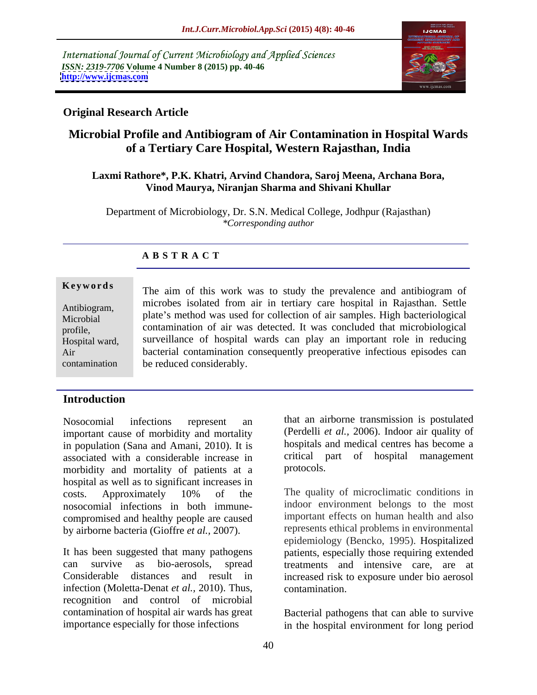International Journal of Current Microbiology and Applied Sciences *ISSN: 2319-7706* **Volume 4 Number 8 (2015) pp. 40-46 <http://www.ijcmas.com>**



## **Original Research Article**

# **Microbial Profile and Antibiogram of Air Contamination in Hospital Wards of a Tertiary Care Hospital, Western Rajasthan, India**

### **Laxmi Rathore\*, P.K. Khatri, Arvind Chandora, Saroj Meena, Archana Bora, Vinod Maurya, Niranjan Sharma and Shivani Khullar**

Department of Microbiology, Dr. S.N. Medical College, Jodhpur (Rajasthan) *\*Corresponding author*

## **A B S T R A C T**

contamination

**Keywords** The aim of this work was to study the prevalence and antibiogram of microbes isolated from air in tertiary care hospital in Rajasthan. Settle Antibiogram, antibiogram, heroes isolated from an in tertiary care hospital in Kajasulan. Settle<br>Microbial plate's method was used for collection of air samples. High bacteriological contamination of air was detected. It was concluded that microbiological profile, surveillance of hospital wards can play an important role in reducing Hospital ward, bacterial contamination consequently preoperative infectious episodes can Air be reduced considerably. Microbial plate s inemiod was used for conection of air samples. Fight bacteriological

## **Introduction**

important cause of morbidity and mortality in population (Sana and Amani, 2010). It is associated with a considerable increase in critical propositional example in the critical proposition of particle in the proposition of proposition of proposition of proposition of proposition of proposition of proposition morbidity and mortality of patients at a hospital as well as to significant increases in costs. Approximately 10% of the The quality of microclimatic conditions in nosocomial infections in both immune compromised and healthy people are caused by airborne bacteria (Gioffre *et al.,* 2007).

It has been suggested that many pathogens patients, especially those requiring extended can survive as bio-aerosols, spread treatments and intensive care, are at Considerable distances and result in increased risk to exposure under bio aerosol infection (Moletta-Denat *et al.,* 2010). Thus, recognition and control of microbial contamination of hospital air wards has great Bacterial pathogens that can able to survive

Nosocomial infections represent an that an airborne transmission is postulated (Perdelli *et al.,* 2006). Indoor air quality of hospitals and medical centres has become a critical part of hospital management protocols.

> The quality of microclimatic conditions in indoor environment belongs to the most important effects on human health and also represents ethical problems in environmental epidemiology (Bencko, 1995). Hospitalized contamination.

importance especially for those infections in the hospital environment for long period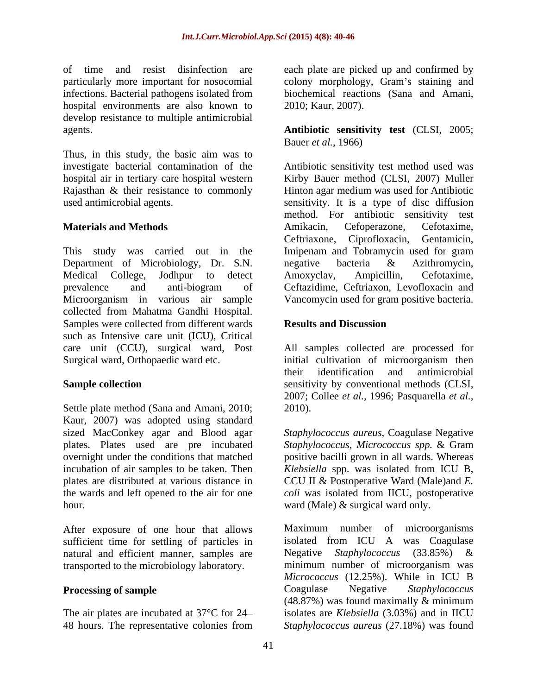infections. Bacterial pathogens isolated from biochemical reactions (Sana and Amani, hospital environments are also known to 2010; Kaur, 2007). develop resistance to multiple antimicrobial

Thus, in this study, the basic aim was to

This study was carried out in the Imipenam and Tobramycin used for gram Department of Microbiology, Dr. S.N. negative bacteria & Azithromycin,<br>Medical College, Jodhpur to detect Amoxyclav, Ampicillin, Cefotaxime, prevalence and anti-biogram of Ceftazidime, Ceftriaxon, Levofloxacin and Microorganism in various air sample Vancomycin used for gram positive bacteria. collected from Mahatma Gandhi Hospital. Samples were collected from different wards **Results and Discussion** such as Intensive care unit (ICU), Critical care unit (CCU), surgical ward, Post All samples collected are processed for Surgical ward, Orthopaedic ward etc. initial cultivation of microorganism then

Settle plate method (Sana and Amani, 2010; 2010). Kaur, 2007) was adopted using standard sized MacConkey agar and Blood agar *Staphylococcus aureus,* Coagulase Negative plates. Plates used are pre incubated *Staphylococcus, Micrococcus spp.* & Gram overnight under the conditions that matched positive bacilli grown in all wards. Whereas incubation of air samples to be taken. Then *Klebsiella* spp. was isolated from ICU B, plates are distributed at various distance in CCU II & Postoperative Ward (Male)and *E.* the wards and left opened to the air for one *coli* was isolated from IICU, postoperative hour. **ward** (Male)  $\&$  surgical ward only.

After exposure of one hour that allows Maximum number of microorganisms sufficient time for settling of particles in natural and efficient manner, samples are transported to the microbiology laboratory.

48 hours. The representative colonies from Staphylococcus aureus (27.18%) was found

of time and resist disinfection are each plate are picked up and confirmed by particularly more important for nosocomial colony morphology, Gram's staining and biochemical reactions (Sana and Amani, 2010; Kaur, 2007).

agents. **Antibiotic sensitivity test** (CLSI, 2005; Bauer *et al.,* 1966)

investigate bacterial contamination of the Antibiotic sensitivity test method used was hospital air in tertiary care hospital western Kirby Bauer method (CLSI, 2007) Muller Rajasthan & their resistance to commonly Hinton agar medium was used for Antibiotic used antimicrobial agents. sensitivity. It is a type of disc diffusion **Materials and Methods** method. For antibiotic sensitivity test Amikacin, Cefoperazone, Cefotaxime, Ceftriaxone, Ciprofloxacin, Gentamicin, negative bacteria & Azithromycin, Amoxyclav, Ampicillin, Cefotaxime,

## **Results and Discussion**

Sample collection **Sample collection** sensitivity by conventional methods (CLSI, their identification and antimicrobial 2007; Collee *et al.,* 1996; Pasquarella *et al.,* 2010).

**Processing of sample** Coagulase Negative Staphylococcus The air plates are incubated at 37°C for 24 isolates are *Klebsiella* (3.03%) and in IICU Maximum number of microorganisms isolated from ICU A was Coagulase Negative *Staphylococcus* (33.85%) & minimum number of microorganism was *Micrococcus* (12.25%). While in ICU B Coagulase Negative *Staphylococcus* (48.87%) was found maximally & minimum *Staphylococcus aureus* (27.18%) was found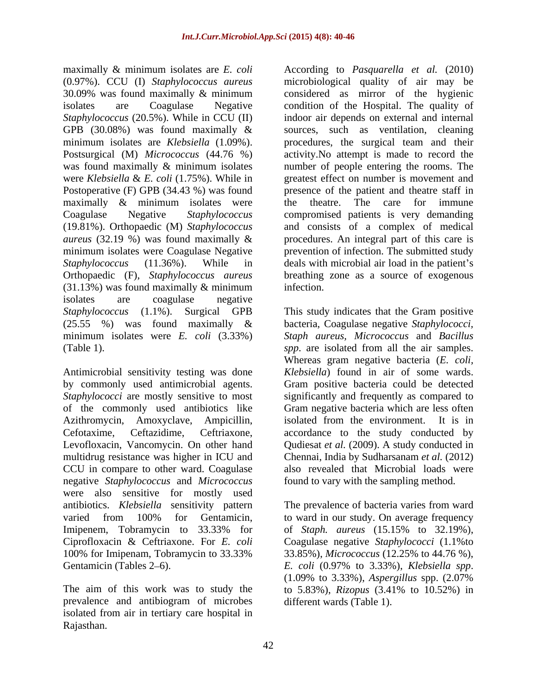maximally & minimum isolates are *E. coli* GPB (30.08%) was found maximally & were *Klebsiella* & *E. coli* (1.75%). While in maximally & minimum isolates were the theatre. The care for immune  $(31.13%)$  was found maximally & minimum infection. isolates are coagulase negative (25.55 %) was found maximally &

of the commonly used antibiotics like multidrug resistance was higher in ICU and CCU in compare to other ward. Coagulase negative *Staphylococcus* and *Micrococcus*  were also sensitive for mostly used antibiotics. *Klebsiella* sensitivity pattern The prevalence of bacteria varies from ward varied from 100% for Gentamicin, to ward in our study. On average frequency Imipenem, Tobramycin to 33.33% for of *Staph. aureus* (15.15% to 32.19%), Ciprofloxacin & Ceftriaxone. For *E. coli* Coagulase negative *Staphylococci* (1.1%to 100% for Imipenam, Tobramycin to 33.33% 33.85%), Micrococcus (12.25% to 44.76 %), Gentamicin (Tables 2–6).  $E. \text{ coli}$  (0.97% to 3.33%), Klebsiella spp.

prevalence and antibiogram of microbes isolated from air in tertiary care hospital in Rajasthan.

(0.97%). CCU (I) *Staphylococcus aureus* microbiological quality of air may be 30.09% was found maximally & minimum considered as mirror of the hygienic isolates are Coagulase Negative condition of the Hospital. The quality of *Staphylococcus* (20.5%). While in CCU (II) indoor air depends on external and internal minimum isolates are *Klebsiella* (1.09%). procedures, the surgical team and their Postsurgical (M) *Micrococcus* (44.76 %) activity.No attempt is made to record the was found maximally & minimum isolates number of people entering the rooms. The Postoperative (F) GPB (34.43 %) was found presence of the patient and theatre staff in Coagulase Negative *Staphylococcus* compromised patients is very demanding (19.81%). Orthopaedic (M) *Staphylococcus* and consists of a complex of medical *aureus* (32.19 %) was found maximally & procedures. An integral part of this care is minimum isolates were Coagulase Negative prevention of infection. The submitted study *Staphylococcus* (11.36%). While in deals with microbial air load in the patient's Orthopaedic (F), *Staphylococcus aureus* breathing zone as a source of exogenous According to *Pasquarella et al.* (2010) sources, such as ventilation, cleaning greatest effect on number is movement and the theatre. The care for immune infection.

*Staphylococcus* (1.1%). Surgical GPB This study indicates that the Gram positive minimum isolates were *E. coli* (3.33%) *Staph aureus, Micrococcus* and *Bacillus*  (Table 1). *spp*. are isolated from all the air samples. Antimicrobial sensitivity testing was done *Klebsiella*) found in air of some wards. by commonly used antimicrobial agents. Gram positive bacteria could be detected *Staphylococci* are mostly sensitive to most significantly and frequently as compared to Azithromycin, Amoxyclave, Ampicillin, isolated from the environment. It is in Cefotaxime, Ceftazidime, Ceftriaxone, accordance to the study conducted by Levofloxacin, Vancomycin. On other hand Qudiesat *et al.* (2009). A study conducted in bacteria, Coagulase negative *Staphylococci,* Whereas gram negative bacteria (*E. coli,* Gram negative bacteria which are less often Chennai, India by Sudharsanam *et al.* (2012) also revealed that Microbial loads were found to vary with the sampling method.

The aim of this work was to study the to 5.83%), *Rizopus* (3.41% to 10.52%) in 33.85%), *Micrococcus* (12.25% to 44.76 %), *E. coli* (0.97% to 3.33%), *Klebsiella spp*. (1.09% to 3.33%), *Aspergillus* spp. (2.07% different wards (Table 1).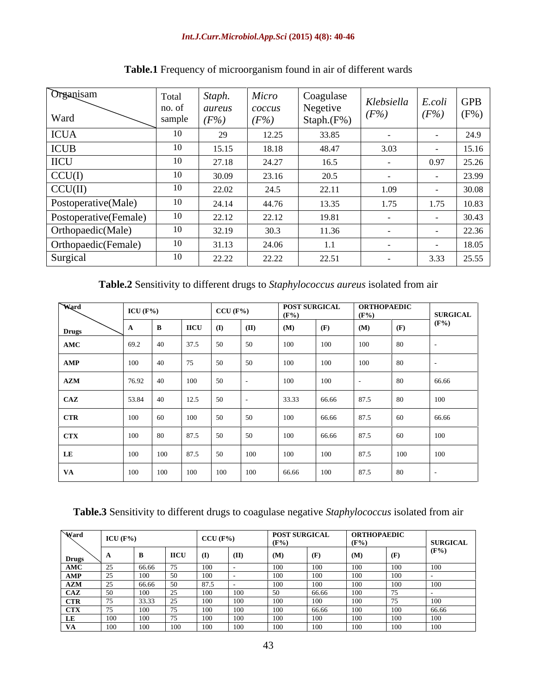### *Int.J.Curr.Microbiol.App.Sci* **(2015) 4(8): 40-46**

| Organisam<br>Ward     | Total<br>no. of<br>sample | Staph.<br>aureus<br>$(F\%$ | Micro<br>coccus<br>$(F\%)$ | Coagulase<br>Negetive<br>Staph.(F%) | $Klebsiella$ $E. coli$ GPB<br>(F%) | (F%) | $(F\%)$ |
|-----------------------|---------------------------|----------------------------|----------------------------|-------------------------------------|------------------------------------|------|---------|
| <b>ICUA</b>           |                           | $\Omega$<br>-47            | 12.25                      | 33.85                               |                                    |      | 24.9    |
| ICUB                  |                           | 15.15                      | 18.18                      | 48.47                               | 3.03                               |      | 15.16   |
| <b>IICU</b>           |                           | 27.18                      | 24.27                      | 16.5                                |                                    | 0.97 | 25.26   |
| CCU(I)                |                           | 30.09                      | 23.16                      | 20.5                                |                                    |      | 23.99   |
| CCU(II)               | 10                        | 22.02                      | 24.5                       | 22.11                               | 1.09                               |      | 30.08   |
| Postoperative(Male)   | 10                        | 24.14                      | 44.76                      | 13.35                               | 1.75                               | 1.75 | 10.83   |
| Postoperative(Female) |                           | 22.12                      | 22.12                      | 19.81                               | $\sim$                             |      | 30.43   |
| Orthopaedic(Male)     | 10                        | 32.19                      | 30.3                       | 11.36                               |                                    |      | 22.36   |
| Orthopaedic(Female)   | 10                        | 31.13                      | 24.06                      | 1.1                                 |                                    |      | 18.05   |
| Surgical              | 10                        | 22.22                      | 22.22                      | 22.51                               |                                    | 3.33 | 25.55   |

# **Table.1** Frequency of microorganism found in air of different wards

# **Table.2** Sensitivity to different drugs to *Staphylococcus aureus* isolated from air

| Ward           | ICU $(F\%)$<br>_________ |      |             | $CCU$ (F%)             | $(F\% )$ | POST SURGICAL |       | <b>ORTHOPAEDIC</b><br>$(F\%)$ |     | <b>SURGICAL</b> |
|----------------|--------------------------|------|-------------|------------------------|----------|---------------|-------|-------------------------------|-----|-----------------|
| <b>Drugs</b>   |                          |      | <b>IICU</b> | (II)<br>$\mathbf{I}$   | (M)      |               |       | (M)                           |     | $(F\%)$         |
| AMC            | 69.2                     | 40   | 37.5        | 50<br>$\vert 50 \vert$ | 100      | 100           |       | 100                           |     |                 |
| AMP            | 100                      | 40   | 75          | 50                     | 100      | 100           |       | 100                           |     |                 |
| $\mathbf{AZM}$ | 76.92 40                 |      | 100         | 50                     | 100      | 100           |       |                               |     | 66.66           |
| CAZ            | 53.84 40                 |      | 12.5        |                        | 33.33    |               | 66.66 |                               |     | 100             |
| <b>CTR</b>     | 100                      | 160  | 100         | 50<br>50 <sup>7</sup>  | 100      |               | 66.66 | 87.5                          |     | 66.66           |
| <b>CTX</b>     | 100                      | - 80 | 87.5        | $-50$                  | 100      |               | 66.66 | 87.5                          |     | 100             |
| LL             | 100                      | 100  | 87.5        | 100<br>50              | 100      | 100           |       | 87.5                          | 100 | 100             |
| V A            | 100                      | 100  | 100         | 100<br>100             | 66.66    | 100           |       | 87.5                          | -80 |                 |

**Table.3** Sensitivity to different drugs to coagulase negative *Staphylococcus* isolated from air

| Ward                                | ICU (F%) |       |  |  | <b>POST SURGICAL</b><br>$CCU$ (F%)<br>$(F\% )$ |   |   | <b>ORTHOPAEDIC</b>                             |  |                 |
|-------------------------------------|----------|-------|--|--|------------------------------------------------|---|---|------------------------------------------------|--|-----------------|
|                                     |          |       |  |  |                                                |   |   | (F <sup>0</sup> ')<br>$\overline{\phantom{a}}$ |  | <b>SURGICAL</b> |
| <b>Drugs</b>                        |          |       |  |  |                                                |   |   |                                                |  | $(F\%)$         |
| $\overline{\text{AMC}}$             |          |       |  |  |                                                |   | . |                                                |  |                 |
| $\overline{\bf A}\overline{\bf MP}$ |          |       |  |  |                                                |   |   |                                                |  |                 |
| $\mathbf{AZM}$                      |          |       |  |  |                                                | . |   |                                                |  |                 |
| $'$ A $'$                           |          |       |  |  |                                                |   |   |                                                |  |                 |
|                                     |          |       |  |  |                                                |   |   |                                                |  |                 |
|                                     |          |       |  |  |                                                |   |   |                                                |  | 66.66           |
|                                     |          |       |  |  |                                                |   |   |                                                |  |                 |
|                                     |          | ,,,,, |  |  |                                                |   |   |                                                |  |                 |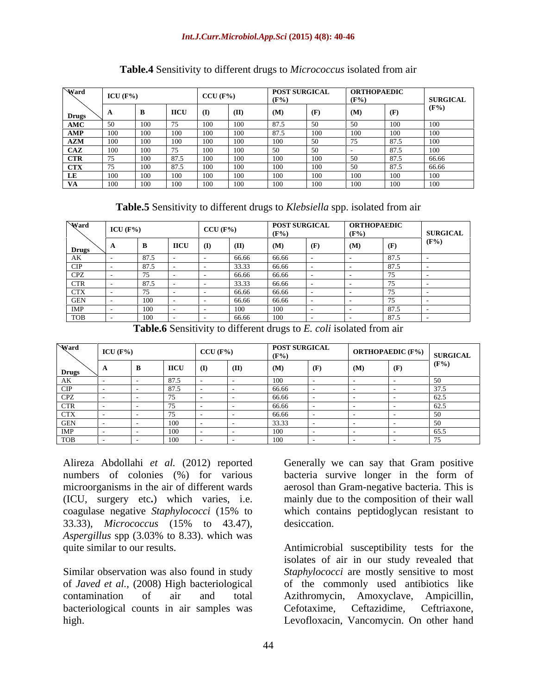### *Int.J.Curr.Microbiol.App.Sci* **(2015) 4(8): 40-46**

| Ward         | ICU $(F\%)$ |       |            |              |      | POST SURGICAL |                           |     | <b>ORTHOPAEDIC</b> |                 |  |
|--------------|-------------|-------|------------|--------------|------|---------------|---------------------------|-----|--------------------|-----------------|--|
|              |             |       | $CCU$ (F%) |              |      |               | $\mathbf{T}^{\mathbf{0}}$ |     |                    | <b>SURGICAL</b> |  |
|              |             |       | ∙ nco      | $\Box$       |      |               |                           | (M) |                    | $(F\%)$         |  |
| Drugs<br>AMC |             |       |            |              |      |               |                           |     |                    |                 |  |
| AMP          |             |       |            |              |      |               |                           |     |                    |                 |  |
| $\bf AZM$    |             |       |            |              |      |               |                           |     | 1075 K             |                 |  |
| CAZ          |             |       |            |              |      |               |                           |     |                    |                 |  |
| <b>CTR</b>   |             |       |            | .            |      |               |                           |     |                    | l 66.66         |  |
| CTX          |             |       |            |              |      |               |                           |     |                    | - 66.66         |  |
| LE           |             |       |            |              |      |               |                           |     |                    |                 |  |
| <b>VA</b>    | ി വി        | ി വ വ |            | $\sqrt{100}$ | ,,,, |               | 1. <i>I I I</i>           |     |                    | .               |  |

### **Table.4** Sensitivity to different drugs to *Micrococcus* isolated from air

**Table.5** Sensitivity to different drugs to *Klebsiella* spp. isolated from air

| Ward            | $CCU$ (F%)<br>ICU $(F\%)$ |         |             | $(F\%)$ | <b>POST SURGICAL</b><br>$\mathbf{F}$ |       | <b>ORTHOPAEDIC</b> | <b>SURGICAL</b> |               |                |
|-----------------|---------------------------|---------|-------------|---------|--------------------------------------|-------|--------------------|-----------------|---------------|----------------|
| <b>Drugs</b>    |                           |         | <b>IICU</b> |         |                                      | (M)   |                    |                 | $\sim$<br>(F) | $\mathbf{F\%}$ |
| $\cdot$ $\cdot$ |                           | 87.5    |             |         | 66.66                                | 66.66 |                    |                 | 87.5          |                |
|                 |                           | 87.5    |             |         | 33.33                                | 66.66 |                    |                 | 87.5          |                |
|                 |                           |         |             |         | 66.66                                | 66.66 |                    |                 |               |                |
| CTR             |                           | 87.5    |             |         | າາາາ<br>JJ.J.                        | 66.66 |                    |                 |               |                |
| <b>CTX</b>      |                           |         |             |         | 66.66                                | 66.66 |                    |                 |               |                |
|                 |                           | 100     |             |         | 66.66                                | 66.66 |                    |                 |               |                |
|                 |                           | 100     |             |         |                                      |       |                    |                 | 87.5          |                |
| $n_{CD}$        |                           | $100 -$ |             |         | 66.66                                |       |                    |                 | 87.5          |                |

**Table.6** Sensitivity to different drugs to *E. coli* isolated from air

| Ward                                   | ICU $(F% )$ |                      | CCU(F%) |              | <b>POST SURGICAL</b> | $\vert$ ORTHOPAEDIC (F%) $\vert$ SURGICAL |  |                            |
|----------------------------------------|-------------|----------------------|---------|--------------|----------------------|-------------------------------------------|--|----------------------------|
| $\sum_{i=1}^{n}$<br>DI ugs             |             | <b>IICU</b>          |         | $\mathbf{I}$ |                      | $\Delta$                                  |  | $(F\%)$                    |
| $1 - 2$<br>AK.                         |             | 87.5                 |         |              | $\cdots$<br>,,,,,    |                                           |  | $\sim$                     |
|                                        |             | X'/2                 |         |              | 66.66                |                                           |  |                            |
| CDZ<br>ᄕ                               |             |                      |         |              | 66.66                |                                           |  |                            |
| <b>CTR</b>                             |             |                      |         |              | 66.66                |                                           |  | $\sim$ $\sim$<br>04.J      |
| <b>CTX</b>                             |             | $- -$                |         |              | 66.66                |                                           |  | $\sim$                     |
| <b>GEN</b><br>$\overline{\phantom{0}}$ |             | $\sim$ $\sim$<br>100 |         |              | 33.33                |                                           |  |                            |
| IMP                                    |             | $\sim$<br>,,,,       |         |              | .                    |                                           |  | $\epsilon \epsilon$<br>n 1 |
| TOB                                    |             |                      |         |              |                      |                                           |  |                            |

Alireza Abdollahi *et al.* (2012) reported Generally we can say that Gram positive numbers of colonies (%) for various bacteria survive longer in the form of microorganisms in the air of different wards aerosol than Gram-negative bacteria. This is (ICU, surgery etc**.**) which varies, i.e. mainly due to the composition of their wall coagulase negative *Staphylococci* (15% to which contains peptidoglycan resistant to 33.33), *Micrococcus* (15% to 43.47), *Aspergillus* spp (3.03% to 8.33). which was

Similar observation was also found in study bacteriological counts in air samples was Cefotaxime, Ceftazidime, Ceftriaxone,

desiccation.

quite similar to our results. Antimicrobial susceptibility tests for the of *Javed et al.,* (2008) High bacteriological of the commonly used antibiotics like contamination of air and total Azithromycin, Amoxyclave, Ampicillin, high. Levofloxacin, Vancomycin. On other hand isolates of air in our study revealed that *Staphylococci* are mostly sensitive to most Cefotaxime, Ceftazidime, Ceftriaxone,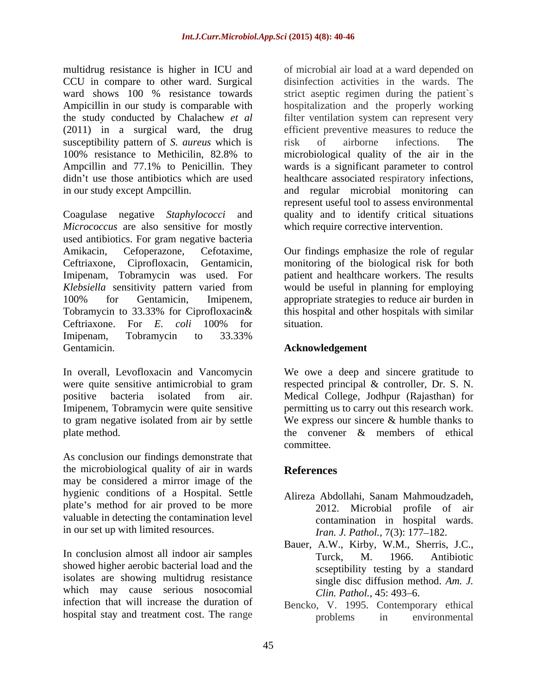the study conducted by Chalachew *et al* (2011) in a surgical ward, the drug susceptibility pattern of *S. aureus* which is risk of airborne infections. The

*Micrococcus* are also sensitive for mostly used antibiotics. For gram negative bacteria Amikacin, Cefoperazone, Cefotaxime, Our findings emphasize the role of regular Ceftriaxone, Ciprofloxacin, Gentamicin, monitoring of the biological risk for both Imipenam, Tobramycin was used. For *Klebsiella* sensitivity pattern varied from 100% for Gentamicin, Imipenem, appropriate strategies to reduce air burden in Tobramycin to 33.33% for Ciprofloxacin& this hospital and other hospitals with similar Ceftriaxone. For *E. coli* 100% for Imipenam, Tobramycin to 33.33% Gentamicin. **Acknowledgement**

In overall, Levofloxacin and Vancomycin We owe a deep and sincere gratitude to were quite sensitive antimicrobial to gram respected principal & controller, Dr. S. N. positive bacteria isolated from air. Medical College, Jodhpur (Rajasthan) for Imipenem, Tobramycin were quite sensitive permitting us to carry out this research work. to gram negative isolated from air by settle We express our sincere & humble thanks to plate method. The convener  $\&$  members of ethical

As conclusion our findings demonstrate that the microbiological quality of air in wards References may be considered a mirror image of the hygienic conditions of a Hospital. Settle Alireza Abdollahi, Sanam Mahmoudzadeh, plate's method for air proved to be more valuable in detecting the contamination level in our set up with limited resources.

In conclusion almost all indoor air samples<br>
Turck, M. 1966. Antibiotic showed higher aerobic bacterial load and the isolates are showing multidrug resistance which may cause serious nosocomial  $Clin. Pathol. 45: 493-6.$ infection that will increase the duration of

multidrug resistance is higher in ICU and of microbial air load at a ward depended on CCU in compare to other ward. Surgical disinfection activities in the wards. The ward shows 100 % resistance towards strict aseptic regimen during the patient's Ampicillin in our study is comparable with hospitalization and the properly working 100% resistance to Methicilin, 82.8% to microbiological quality of the air in the Ampcillin and 77.1% to Penicillin. They wards is a significant parameter to control didn't use those antibiotics which are used healthcare associated respiratory infections, in our study except Ampcillin. and regular microbial monitoring can Coagulase negative *Staphylococci* and quality and to identify critical situations filter ventilation system can represent very efficient preventive measures to reduce the risk of airborne infections. The represent useful tool to assess environmental which require corrective intervention.

> patient and healthcare workers. The results would be useful in planning for employing situation.

the convener & members of ethical committee.

# **References**

- Alireza Abdollahi, Sanam Mahmoudzadeh, 2012. Microbial profile of air contamination in hospital wards. *Iran. J. Pathol.,* 7(3): 177-182.
- Bauer, A.W., Kirby, W.M., Sherris, J.C., Turck, M. 1966. Antibiotic scseptibility testing by a standard single disc diffusion method. *Am. J. Clin. Pathol., 45: 493–6.*
- hospital stay and treatment cost. The range problems in environmental Bencko, V. 1995. Contemporary ethical problems in environmental